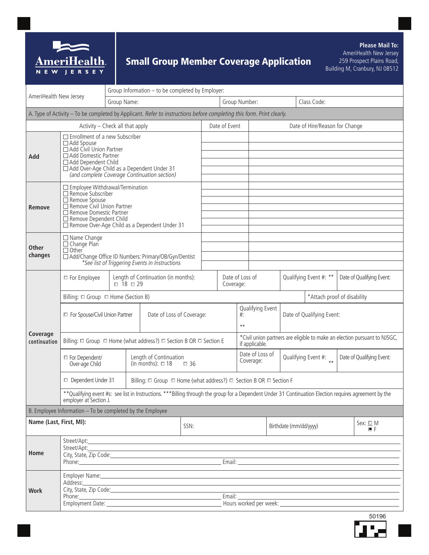

# Small Group Member Coverage Application

**Please Mail To:** AmeriHealth New Jersey 259 Prospect Plains Road, Building M, Cranbury, NJ 08512

| AmeriHealth New Jersey                                                                                                |                                                                                                                                                                                                                                                                                                                                                                     | Group Information - to be completed by Employer:                                       |                                                |  |                |                                                                                                                |  |                              |                                                                           |                           |                             |                           |                           |
|-----------------------------------------------------------------------------------------------------------------------|---------------------------------------------------------------------------------------------------------------------------------------------------------------------------------------------------------------------------------------------------------------------------------------------------------------------------------------------------------------------|----------------------------------------------------------------------------------------|------------------------------------------------|--|----------------|----------------------------------------------------------------------------------------------------------------|--|------------------------------|---------------------------------------------------------------------------|---------------------------|-----------------------------|---------------------------|---------------------------|
|                                                                                                                       |                                                                                                                                                                                                                                                                                                                                                                     | Group Name:                                                                            |                                                |  |                | Group Number:                                                                                                  |  |                              |                                                                           | Class Code:               |                             |                           |                           |
| A. Type of Activity - To be completed by Applicant. Refer to instructions before completing this form. Print clearly. |                                                                                                                                                                                                                                                                                                                                                                     |                                                                                        |                                                |  |                |                                                                                                                |  |                              |                                                                           |                           |                             |                           |                           |
| Activity - Check all that apply<br>Date of Event<br>Date of Hire/Reason for Change                                    |                                                                                                                                                                                                                                                                                                                                                                     |                                                                                        |                                                |  |                |                                                                                                                |  |                              |                                                                           |                           |                             |                           |                           |
| Add                                                                                                                   | $\Box$ Enrollment of a new Subscriber<br>□ Add Spouse<br>□ Add Civil Union Partner<br>□ Add Domestic Partner<br>□ Add Dependent Child<br>□ Add Over-Age Child as a Dependent Under 31                                                                                                                                                                               |                                                                                        |                                                |  |                |                                                                                                                |  |                              |                                                                           |                           |                             |                           |                           |
|                                                                                                                       |                                                                                                                                                                                                                                                                                                                                                                     |                                                                                        |                                                |  |                |                                                                                                                |  |                              |                                                                           |                           |                             |                           |                           |
|                                                                                                                       |                                                                                                                                                                                                                                                                                                                                                                     |                                                                                        |                                                |  |                |                                                                                                                |  |                              |                                                                           |                           |                             |                           |                           |
|                                                                                                                       |                                                                                                                                                                                                                                                                                                                                                                     |                                                                                        |                                                |  |                |                                                                                                                |  |                              |                                                                           |                           |                             |                           |                           |
|                                                                                                                       | (and complete Coverage Continuation section)                                                                                                                                                                                                                                                                                                                        |                                                                                        |                                                |  |                |                                                                                                                |  |                              |                                                                           |                           |                             |                           |                           |
| Remove                                                                                                                | □ Employee Withdrawal/Termination<br>$\Box$ Remove Subscriber<br>□ Remove Spouse<br>Remove Civil Union Partner<br>□ Remove Domestic Partner<br>□ Remove Dependent Child<br>□ Remove Over-Age Child as a Dependent Under 31                                                                                                                                          |                                                                                        |                                                |  |                |                                                                                                                |  |                              |                                                                           |                           |                             |                           |                           |
|                                                                                                                       |                                                                                                                                                                                                                                                                                                                                                                     |                                                                                        |                                                |  |                |                                                                                                                |  |                              |                                                                           |                           |                             |                           |                           |
|                                                                                                                       |                                                                                                                                                                                                                                                                                                                                                                     |                                                                                        |                                                |  |                |                                                                                                                |  |                              |                                                                           |                           |                             |                           |                           |
|                                                                                                                       |                                                                                                                                                                                                                                                                                                                                                                     |                                                                                        |                                                |  |                |                                                                                                                |  |                              |                                                                           |                           |                             |                           |                           |
|                                                                                                                       |                                                                                                                                                                                                                                                                                                                                                                     |                                                                                        |                                                |  |                |                                                                                                                |  |                              |                                                                           |                           |                             |                           |                           |
| <b>Other</b><br>changes                                                                                               | □ Name Change                                                                                                                                                                                                                                                                                                                                                       |                                                                                        |                                                |  |                |                                                                                                                |  |                              |                                                                           |                           |                             |                           |                           |
|                                                                                                                       | □ Change Plan                                                                                                                                                                                                                                                                                                                                                       |                                                                                        |                                                |  |                |                                                                                                                |  |                              |                                                                           |                           |                             |                           |                           |
|                                                                                                                       | $\Box$ Other<br>□ Add/Change Office ID Numbers: Primary/OB/Gyn/Dentist                                                                                                                                                                                                                                                                                              |                                                                                        |                                                |  |                |                                                                                                                |  |                              |                                                                           |                           |                             |                           |                           |
|                                                                                                                       |                                                                                                                                                                                                                                                                                                                                                                     |                                                                                        | *See list of Triggering Events in Instructions |  |                |                                                                                                                |  |                              |                                                                           |                           |                             |                           |                           |
|                                                                                                                       | Length of Continuation (in months):<br>□ For Employee                                                                                                                                                                                                                                                                                                               |                                                                                        |                                                |  |                | Date of Loss of                                                                                                |  |                              |                                                                           | Qualifying Event #: **    |                             | Date of Qualifying Event: |                           |
|                                                                                                                       | $\Box$ 18 $\Box$ 29                                                                                                                                                                                                                                                                                                                                                 |                                                                                        |                                                |  | Coverage:      |                                                                                                                |  |                              |                                                                           |                           |                             |                           |                           |
|                                                                                                                       | Billing: □ Group  □ Home (Section B)                                                                                                                                                                                                                                                                                                                                |                                                                                        |                                                |  |                |                                                                                                                |  |                              |                                                                           |                           | *Attach proof of disability |                           |                           |
|                                                                                                                       |                                                                                                                                                                                                                                                                                                                                                                     |                                                                                        |                                                |  |                | Qualifying Event                                                                                               |  |                              |                                                                           |                           |                             |                           |                           |
|                                                                                                                       | Date of Loss of Coverage:<br>□ For Spouse/Civil Union Partner                                                                                                                                                                                                                                                                                                       |                                                                                        |                                                |  |                | $#$ :<br>$***$                                                                                                 |  |                              |                                                                           | Date of Qualifying Event: |                             |                           |                           |
|                                                                                                                       |                                                                                                                                                                                                                                                                                                                                                                     |                                                                                        |                                                |  |                |                                                                                                                |  |                              |                                                                           |                           |                             |                           |                           |
| Coverage<br>continuation                                                                                              |                                                                                                                                                                                                                                                                                                                                                                     |                                                                                        |                                                |  | if applicable. |                                                                                                                |  |                              | *Civil union partners are eligible to make an election pursuant to NJSGC, |                           |                             |                           |                           |
|                                                                                                                       | □ For Dependent/                                                                                                                                                                                                                                                                                                                                                    |                                                                                        | Length of Continuation                         |  |                |                                                                                                                |  | Date of Loss of<br>Coverage: |                                                                           | Qualifying Event #:       |                             |                           | Date of Qualifying Event: |
|                                                                                                                       | Over-age Child                                                                                                                                                                                                                                                                                                                                                      |                                                                                        | (in months): $\Box$ 18<br>$\Box$ 36            |  |                |                                                                                                                |  |                              |                                                                           |                           |                             |                           |                           |
|                                                                                                                       | Dependent Under 31                                                                                                                                                                                                                                                                                                                                                  | Billing: $\Box$ Group $\Box$ Home (what address?) $\Box$ Section B OR $\Box$ Section F |                                                |  |                |                                                                                                                |  |                              |                                                                           |                           |                             |                           |                           |
|                                                                                                                       | ** Qualifying event #s: see list in Instructions. *** Billing through the group for a Dependent Under 31 Continuation Election requires agreement by the<br>employer at Section J.                                                                                                                                                                                  |                                                                                        |                                                |  |                |                                                                                                                |  |                              |                                                                           |                           |                             |                           |                           |
|                                                                                                                       | B. Employee Information - To be completed by the Employee                                                                                                                                                                                                                                                                                                           |                                                                                        |                                                |  |                |                                                                                                                |  |                              |                                                                           |                           |                             |                           |                           |
| Name (Last, First, MI):<br>SSN:                                                                                       |                                                                                                                                                                                                                                                                                                                                                                     |                                                                                        |                                                |  |                | Birthdate (mm/dd/yyyy)                                                                                         |  |                              | Sex: $\square$ M<br>画目                                                    |                           |                             |                           |                           |
| Home                                                                                                                  |                                                                                                                                                                                                                                                                                                                                                                     |                                                                                        |                                                |  |                |                                                                                                                |  |                              |                                                                           |                           |                             |                           |                           |
|                                                                                                                       |                                                                                                                                                                                                                                                                                                                                                                     |                                                                                        |                                                |  |                |                                                                                                                |  |                              |                                                                           |                           |                             |                           |                           |
|                                                                                                                       |                                                                                                                                                                                                                                                                                                                                                                     |                                                                                        |                                                |  |                | Email: Email: All Annual Annual Annual Annual Annual Annual Annual Annual Annual Annual Annual Annual Annual A |  |                              |                                                                           |                           |                             |                           |                           |
|                                                                                                                       |                                                                                                                                                                                                                                                                                                                                                                     |                                                                                        |                                                |  |                |                                                                                                                |  |                              |                                                                           |                           |                             |                           |                           |
| <b>Work</b>                                                                                                           | Employer Name: Name and Second Contract and Second Contract of the Contract of the Contract of the Contract of the Contract of the Contract of the Contract of the Contract of the Contract of the Contract of the Contract of<br>Address:<br><u> 1989 - Johann Stoff, deutscher Stoff, der Stoff, der Stoff, der Stoff, der Stoff, der Stoff, der Stoff, der S</u> |                                                                                        |                                                |  |                |                                                                                                                |  |                              |                                                                           |                           |                             |                           |                           |
|                                                                                                                       |                                                                                                                                                                                                                                                                                                                                                                     |                                                                                        |                                                |  |                |                                                                                                                |  |                              |                                                                           |                           |                             |                           |                           |
|                                                                                                                       | Phone:                                                                                                                                                                                                                                                                                                                                                              |                                                                                        |                                                |  |                | Email:                                                                                                         |  |                              |                                                                           |                           |                             |                           |                           |
|                                                                                                                       |                                                                                                                                                                                                                                                                                                                                                                     |                                                                                        |                                                |  |                |                                                                                                                |  |                              |                                                                           |                           |                             |                           |                           |

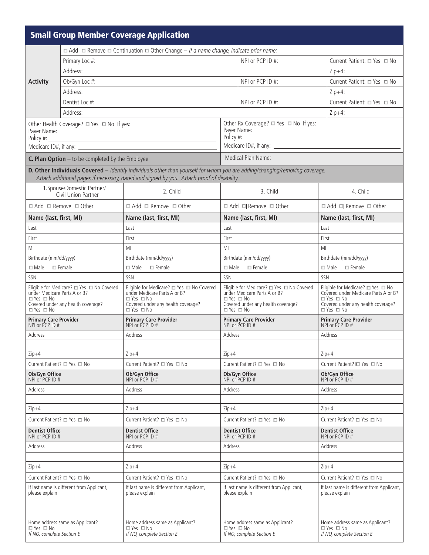|                                                                                                                                                                                                                                                                                             |                                                           | <b>Small Group Member Coverage Application</b>                                                                                                          |                                                                                                                                                         |                                                                                                                                                         |  |  |  |
|---------------------------------------------------------------------------------------------------------------------------------------------------------------------------------------------------------------------------------------------------------------------------------------------|-----------------------------------------------------------|---------------------------------------------------------------------------------------------------------------------------------------------------------|---------------------------------------------------------------------------------------------------------------------------------------------------------|---------------------------------------------------------------------------------------------------------------------------------------------------------|--|--|--|
|                                                                                                                                                                                                                                                                                             |                                                           | $\Box$ Add $\Box$ Remove $\Box$ Continuation $\Box$ Other Change - If a name change, indicate prior name:                                               |                                                                                                                                                         |                                                                                                                                                         |  |  |  |
|                                                                                                                                                                                                                                                                                             | Primary Loc #:                                            |                                                                                                                                                         | NPI or PCP ID #:                                                                                                                                        | Current Patient: □ Yes □ No                                                                                                                             |  |  |  |
|                                                                                                                                                                                                                                                                                             | Address:                                                  |                                                                                                                                                         |                                                                                                                                                         | $Zip+4$ :                                                                                                                                               |  |  |  |
| <b>Activity</b>                                                                                                                                                                                                                                                                             | Ob/Gyn Loc #:                                             |                                                                                                                                                         | NPI or PCP ID #:                                                                                                                                        | Current Patient: □ Yes □ No                                                                                                                             |  |  |  |
|                                                                                                                                                                                                                                                                                             | Address:                                                  |                                                                                                                                                         |                                                                                                                                                         | $Zip+4$ :                                                                                                                                               |  |  |  |
|                                                                                                                                                                                                                                                                                             | Dentist Loc #:                                            |                                                                                                                                                         | NPI or PCP ID #:                                                                                                                                        | Current Patient: □ Yes □ No                                                                                                                             |  |  |  |
|                                                                                                                                                                                                                                                                                             | Address:                                                  |                                                                                                                                                         |                                                                                                                                                         | $Zip+4:$                                                                                                                                                |  |  |  |
| Other Health Coverage? $\square$ Yes $\square$ No If yes:<br>Payer Name: 1988 Contract Contract Contract Contract Contract Contract Contract Contract Contract Contract Contract Contract Contract Contract Contract Contract Contract Contract Contract Contract Contract Contract Contrac |                                                           |                                                                                                                                                         | Other Rx Coverage? □ Yes □ No If yes:                                                                                                                   |                                                                                                                                                         |  |  |  |
|                                                                                                                                                                                                                                                                                             |                                                           |                                                                                                                                                         | Payer Name: 1988 - 1988 - 1988 - 1988 - 1988 - 1988 - 1988 - 1988 - 1988 - 1988 - 1988 - 1988 - 1988 - 1988 - 1                                         |                                                                                                                                                         |  |  |  |
|                                                                                                                                                                                                                                                                                             |                                                           |                                                                                                                                                         |                                                                                                                                                         |                                                                                                                                                         |  |  |  |
|                                                                                                                                                                                                                                                                                             |                                                           |                                                                                                                                                         |                                                                                                                                                         |                                                                                                                                                         |  |  |  |
|                                                                                                                                                                                                                                                                                             | <b>C. Plan Option</b> $-$ to be completed by the Employee |                                                                                                                                                         | Medical Plan Name:                                                                                                                                      |                                                                                                                                                         |  |  |  |
|                                                                                                                                                                                                                                                                                             |                                                           | Attach additional pages if necessary, dated and signed by you. Attach proof of disability.                                                              | D. Other Individuals Covered - Identify individuals other than yourself for whom you are adding/changing/removing coverage.                             |                                                                                                                                                         |  |  |  |
|                                                                                                                                                                                                                                                                                             | 1. Spouse/Domestic Partner/<br>Civil Union Partner        | 2. Child                                                                                                                                                | 3. Child                                                                                                                                                | 4. Child                                                                                                                                                |  |  |  |
|                                                                                                                                                                                                                                                                                             | $\Box$ Add $\Box$ Remove $\Box$ Other                     | $\Box$ Add $\Box$ Remove $\Box$ Other                                                                                                                   | □ Add □ Remove □ Other                                                                                                                                  | $\Box$ Add $\Box$ Remove $\Box$ Other                                                                                                                   |  |  |  |
| Name (last, first, MI)                                                                                                                                                                                                                                                                      |                                                           | Name (last, first, MI)                                                                                                                                  | Name (last, first, MI)                                                                                                                                  | Name (last, first, MI)                                                                                                                                  |  |  |  |
| Last                                                                                                                                                                                                                                                                                        |                                                           | Last                                                                                                                                                    | Last                                                                                                                                                    | Last                                                                                                                                                    |  |  |  |
| First                                                                                                                                                                                                                                                                                       |                                                           | First                                                                                                                                                   | First                                                                                                                                                   | First                                                                                                                                                   |  |  |  |
| MI                                                                                                                                                                                                                                                                                          |                                                           | MI                                                                                                                                                      | MI                                                                                                                                                      | MI                                                                                                                                                      |  |  |  |
| Birthdate (mm/dd/yyyy)                                                                                                                                                                                                                                                                      |                                                           | Birthdate (mm/dd/yyyy)                                                                                                                                  | Birthdate (mm/dd/yyyy)                                                                                                                                  | Birthdate (mm/dd/yyyy)                                                                                                                                  |  |  |  |
| $\Box$ Male $\Box$ Female                                                                                                                                                                                                                                                                   |                                                           | $\Box$ Male<br>$\Box$ Female                                                                                                                            | $\Box$ Male<br>$\Box$ Female                                                                                                                            | $\Box$ Male<br>$\Box$ Female                                                                                                                            |  |  |  |
| <b>SSN</b>                                                                                                                                                                                                                                                                                  |                                                           | SSN                                                                                                                                                     | SSN                                                                                                                                                     | SSN                                                                                                                                                     |  |  |  |
| Eligible for Medicare? $\Box$ Yes $\Box$ No Covered<br>under Medicare Parts A or B?<br>$\Box$ Yes $\Box$ No<br>Covered under any health coverage?                                                                                                                                           |                                                           | Eligible for Medicare? $\square$ Yes $\square$ No Covered<br>under Medicare Parts A or B?<br>$\Box$ Yes $\Box$ No<br>Covered under any health coverage? | Eligible for Medicare? <sup>D</sup> Yes $\Box$ No Covered<br>under Medicare Parts A or B?<br>$\Box$ Yes $\Box$ No<br>Covered under any health coverage? | Eligible for Medicare? $\square$ Yes $\square$ No<br>Covered under Medicare Parts A or B?<br>$\Box$ Yes $\Box$ No<br>Covered under any health coverage? |  |  |  |
| $\Box$ Yes $\Box$ No<br><b>Primary Care Provider</b>                                                                                                                                                                                                                                        |                                                           | □ Yes □ No<br><b>Primary Care Provider</b>                                                                                                              | $\Box$ Yes $\Box$ No<br><b>Primary Care Provider</b>                                                                                                    | $\Box$ Yes $\Box$ No<br><b>Primary Care Provider</b><br>NPI or PCP ID #                                                                                 |  |  |  |
| NPI or PCP ID #                                                                                                                                                                                                                                                                             |                                                           | NPI or PCP ID #<br>Address                                                                                                                              | NPI or PCP ID #<br>Address                                                                                                                              | Address                                                                                                                                                 |  |  |  |
| Address                                                                                                                                                                                                                                                                                     |                                                           |                                                                                                                                                         |                                                                                                                                                         |                                                                                                                                                         |  |  |  |
| $Zip+4$                                                                                                                                                                                                                                                                                     |                                                           | $Zip+4$                                                                                                                                                 | $Zip+4$                                                                                                                                                 | $Zip+4$                                                                                                                                                 |  |  |  |
| Current Patient? □ Yes □ No                                                                                                                                                                                                                                                                 |                                                           | Current Patient? □ Yes □ No                                                                                                                             | Current Patient? □ Yes □ No                                                                                                                             | Current Patient? □ Yes □ No                                                                                                                             |  |  |  |
| Ob/Gyn Office<br>NPI or PCP ID #                                                                                                                                                                                                                                                            |                                                           | Ob/Gyn Office<br>NPI or PCP ID #                                                                                                                        | Ob/Gyn Office<br>NPI or PCP ID #                                                                                                                        | Ob/Gyn Office<br>NPI or PCP ID #                                                                                                                        |  |  |  |
| Address                                                                                                                                                                                                                                                                                     |                                                           | Address                                                                                                                                                 | Address                                                                                                                                                 | Address                                                                                                                                                 |  |  |  |
|                                                                                                                                                                                                                                                                                             |                                                           |                                                                                                                                                         |                                                                                                                                                         |                                                                                                                                                         |  |  |  |
| $Zip+4$                                                                                                                                                                                                                                                                                     |                                                           | $Zip+4$                                                                                                                                                 | $Zip+4$                                                                                                                                                 | $Zip+4$                                                                                                                                                 |  |  |  |
|                                                                                                                                                                                                                                                                                             | Current Patient? $\Box$ Yes $\Box$ No                     | Current Patient? □ Yes □ No                                                                                                                             | Current Patient? □ Yes □ No                                                                                                                             | Current Patient? □ Yes □ No                                                                                                                             |  |  |  |
| <b>Dentist Office</b><br>NPI or PCP ID #                                                                                                                                                                                                                                                    |                                                           | <b>Dentist Office</b><br>NPI or PCP ID #                                                                                                                | <b>Dentist Office</b><br>NPI or PCP ID #                                                                                                                | <b>Dentist Office</b><br>NPI or PCP ID #                                                                                                                |  |  |  |
| Address                                                                                                                                                                                                                                                                                     | Address                                                   |                                                                                                                                                         | Address                                                                                                                                                 | Address                                                                                                                                                 |  |  |  |
|                                                                                                                                                                                                                                                                                             |                                                           |                                                                                                                                                         |                                                                                                                                                         |                                                                                                                                                         |  |  |  |
| $Zip+4$                                                                                                                                                                                                                                                                                     |                                                           | $Zip+4$                                                                                                                                                 | $Zip+4$                                                                                                                                                 | $Zip+4$                                                                                                                                                 |  |  |  |
| Current Patient? □ Yes □ No                                                                                                                                                                                                                                                                 |                                                           | Current Patient? □ Yes □ No                                                                                                                             | Current Patient? □ Yes □ No                                                                                                                             | Current Patient? □ Yes □ No                                                                                                                             |  |  |  |
| please explain                                                                                                                                                                                                                                                                              | If last name is different from Applicant,                 | If last name is different from Applicant,<br>please explain                                                                                             | If last name is different from Applicant,<br>please explain                                                                                             | If last name is different from Applicant,<br>please explain                                                                                             |  |  |  |
| Home address same as Applicant?<br>□ Yes □ No<br>If NO, complete Section E                                                                                                                                                                                                                  |                                                           | Home address same as Applicant?<br>$\Box$ Yes $\Box$ No<br>If NO, complete Section E                                                                    | Home address same as Applicant?<br>$\Box$ Yes $\Box$ No<br>If NO, complete Section E                                                                    | Home address same as Applicant?<br>□ Yes □ No<br>If NO, complete Section E                                                                              |  |  |  |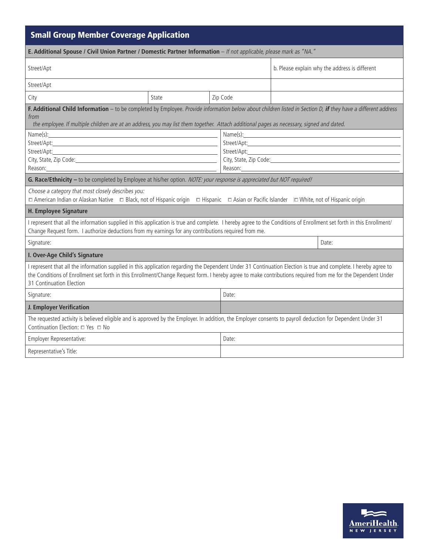| <b>Small Group Member Coverage Application</b>                                                                                                                                                                                                                                                                                                               |                                                |       |                                                                                                                                                                                                                                                                                                                                                                                                                                                                                                                                                                                              |  |  |  |  |  |
|--------------------------------------------------------------------------------------------------------------------------------------------------------------------------------------------------------------------------------------------------------------------------------------------------------------------------------------------------------------|------------------------------------------------|-------|----------------------------------------------------------------------------------------------------------------------------------------------------------------------------------------------------------------------------------------------------------------------------------------------------------------------------------------------------------------------------------------------------------------------------------------------------------------------------------------------------------------------------------------------------------------------------------------------|--|--|--|--|--|
| E. Additional Spouse / Civil Union Partner / Domestic Partner Information - If not applicable, please mark as "NA."                                                                                                                                                                                                                                          |                                                |       |                                                                                                                                                                                                                                                                                                                                                                                                                                                                                                                                                                                              |  |  |  |  |  |
| Street/Apt                                                                                                                                                                                                                                                                                                                                                   | b. Please explain why the address is different |       |                                                                                                                                                                                                                                                                                                                                                                                                                                                                                                                                                                                              |  |  |  |  |  |
| Street/Apt                                                                                                                                                                                                                                                                                                                                                   |                                                |       |                                                                                                                                                                                                                                                                                                                                                                                                                                                                                                                                                                                              |  |  |  |  |  |
| City                                                                                                                                                                                                                                                                                                                                                         | Zip Code<br>State                              |       |                                                                                                                                                                                                                                                                                                                                                                                                                                                                                                                                                                                              |  |  |  |  |  |
| F. Additional Child Information - to be completed by Employee. Provide information below about children listed in Section D, if they have a different address<br>from<br>the employee. If multiple children are at an address, you may list them together. Attach additional pages as necessary, signed and dated.                                           |                                                |       |                                                                                                                                                                                                                                                                                                                                                                                                                                                                                                                                                                                              |  |  |  |  |  |
| Name(s): 2008 2009 2012 2022 2023 2024 2022 2022 2023 2024 2022 2023 2024 2022 2023 2024 2022 2023 2024 2022 20<br>Reason:                                                                                                                                                                                                                                   |                                                |       | $Name(s):$ and $\frac{1}{s}$ and $\frac{1}{s}$ and $\frac{1}{s}$ and $\frac{1}{s}$ and $\frac{1}{s}$ and $\frac{1}{s}$ and $\frac{1}{s}$ and $\frac{1}{s}$ and $\frac{1}{s}$ and $\frac{1}{s}$ and $\frac{1}{s}$ and $\frac{1}{s}$ and $\frac{1}{s}$ and $\frac{1}{s}$ and $\frac{1}{s}$ and<br>City, State, Zip Code: Call Content City, State, Zip Code:<br>Reason: and the second service of the series of the series of the series of the series of the series of the series of the series of the series of the series of the series of the series of the series of the series of the se |  |  |  |  |  |
| G. Race/Ethnicity - to be completed by Employee at his/her option. NOTE: your response is appreciated but NOT required!                                                                                                                                                                                                                                      |                                                |       |                                                                                                                                                                                                                                                                                                                                                                                                                                                                                                                                                                                              |  |  |  |  |  |
| Choose a category that most closely describes you:<br>□ American Indian or Alaskan Native □ Black, not of Hispanic origin □ Hispanic □ Asian or Pacific Islander □ White, not of Hispanic origin                                                                                                                                                             |                                                |       |                                                                                                                                                                                                                                                                                                                                                                                                                                                                                                                                                                                              |  |  |  |  |  |
| <b>H. Employee Signature</b>                                                                                                                                                                                                                                                                                                                                 |                                                |       |                                                                                                                                                                                                                                                                                                                                                                                                                                                                                                                                                                                              |  |  |  |  |  |
| I represent that all the information supplied in this application is true and complete. I hereby agree to the Conditions of Enrollment set forth in this Enrollment/<br>Change Request form. I authorize deductions from my earnings for any contributions required from me.                                                                                 |                                                |       |                                                                                                                                                                                                                                                                                                                                                                                                                                                                                                                                                                                              |  |  |  |  |  |
| Signature:                                                                                                                                                                                                                                                                                                                                                   |                                                |       | Date:                                                                                                                                                                                                                                                                                                                                                                                                                                                                                                                                                                                        |  |  |  |  |  |
| I. Over-Age Child's Signature                                                                                                                                                                                                                                                                                                                                |                                                |       |                                                                                                                                                                                                                                                                                                                                                                                                                                                                                                                                                                                              |  |  |  |  |  |
| I represent that all the information supplied in this application regarding the Dependent Under 31 Continuation Election is true and complete. I hereby agree to<br>the Conditions of Enrollment set forth in this Enrollment/Change Request form. I hereby agree to make contributions required from me for the Dependent Under<br>31 Continuation Election |                                                |       |                                                                                                                                                                                                                                                                                                                                                                                                                                                                                                                                                                                              |  |  |  |  |  |
| Signature:                                                                                                                                                                                                                                                                                                                                                   |                                                | Date: |                                                                                                                                                                                                                                                                                                                                                                                                                                                                                                                                                                                              |  |  |  |  |  |
| J. Employer Verification                                                                                                                                                                                                                                                                                                                                     |                                                |       |                                                                                                                                                                                                                                                                                                                                                                                                                                                                                                                                                                                              |  |  |  |  |  |
| The requested activity is believed eligible and is approved by the Employer. In addition, the Employer consents to payroll deduction for Dependent Under 31<br>Continuation Election: □ Yes □ No                                                                                                                                                             |                                                |       |                                                                                                                                                                                                                                                                                                                                                                                                                                                                                                                                                                                              |  |  |  |  |  |
| Employer Representative:                                                                                                                                                                                                                                                                                                                                     |                                                | Date: |                                                                                                                                                                                                                                                                                                                                                                                                                                                                                                                                                                                              |  |  |  |  |  |
| Representative's Title:                                                                                                                                                                                                                                                                                                                                      |                                                |       |                                                                                                                                                                                                                                                                                                                                                                                                                                                                                                                                                                                              |  |  |  |  |  |